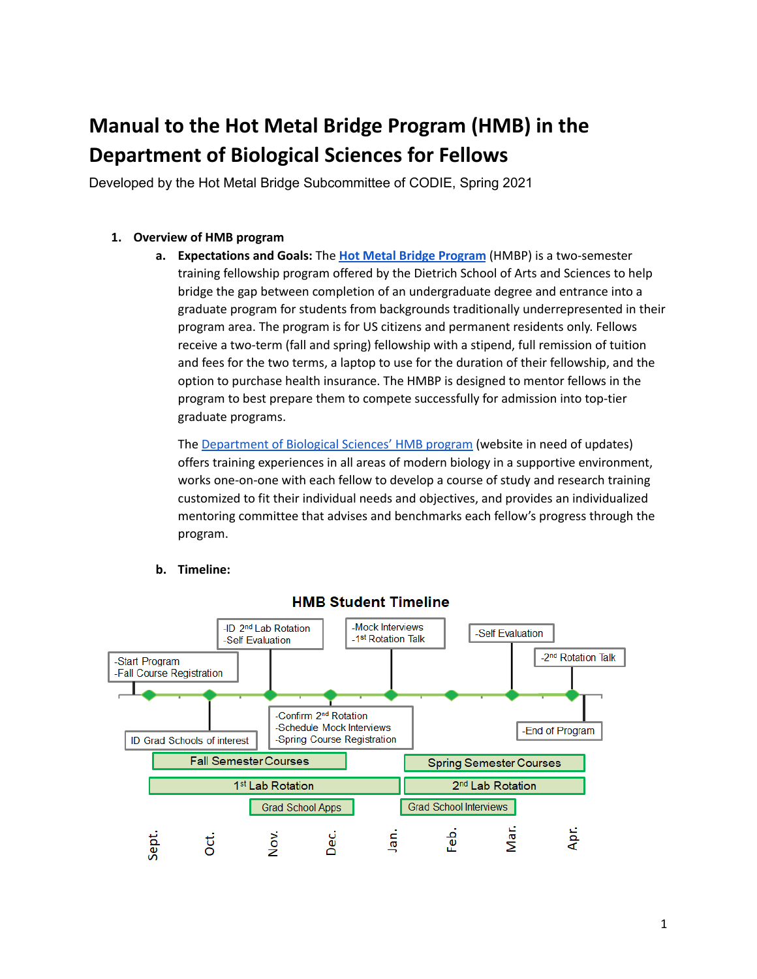# **Manual to the Hot Metal Bridge Program (HMB) in the Department of Biological Sciences for Fellows**

Developed by the Hot Metal Bridge Subcommittee of CODIE, Spring 2021

# **1. Overview of HMB program**

**a. Expectations and Goals:** The **Hot Metal Bridge [Program](https://www.asgraduate.pitt.edu/hot-metal-bridge-post-bac-program)** (HMBP) is a two-semester training fellowship program offered by the Dietrich School of Arts and Sciences to help bridge the gap between completion of an undergraduate degree and entrance into a graduate program for students from backgrounds traditionally underrepresented in their program area. The program is for US citizens and permanent residents only. Fellows receive a two-term (fall and spring) fellowship with a stipend, full remission of tuition and fees for the two terms, a laptop to use for the duration of their fellowship, and the option to purchase health insurance. The HMBP is designed to mentor fellows in the program to best prepare them to compete successfully for admission into top-tier graduate programs.

The [Department](https://www.biology.pitt.edu/hot-metal) of Biological Sciences' HMB program (website in need of updates) offers training experiences in all areas of modern biology in a supportive environment, works one-on-one with each fellow to develop a course of study and research training customized to fit their individual needs and objectives, and provides an individualized mentoring committee that advises and benchmarks each fellow's progress through the program.



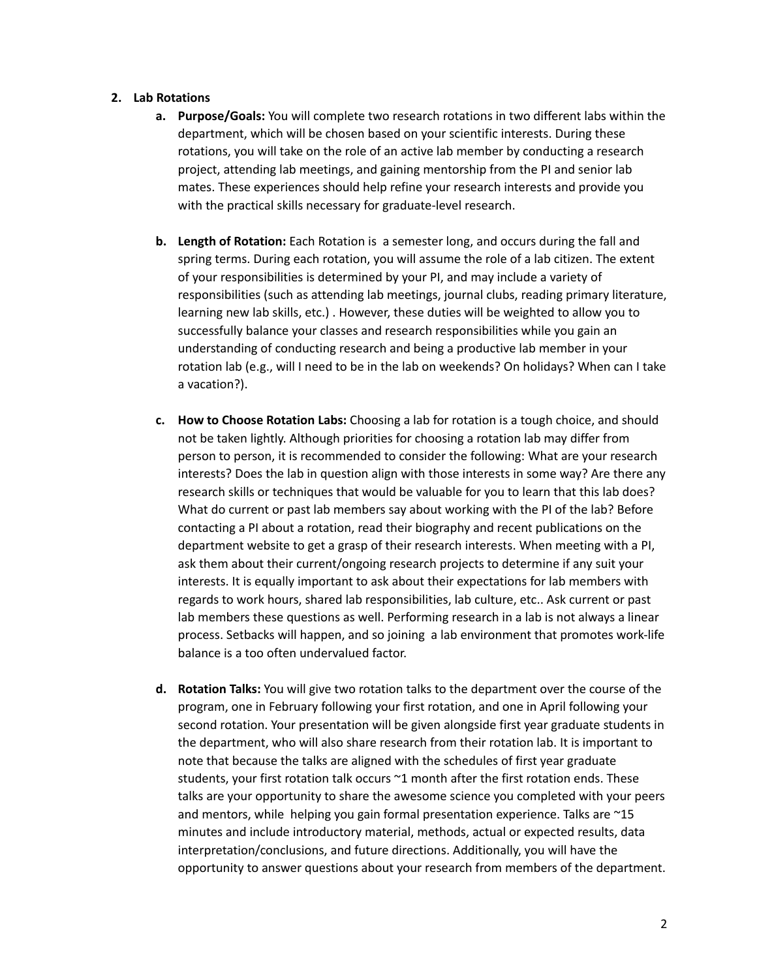## **2. Lab Rotations**

- **a. Purpose/Goals:** You will complete two research rotations in two different labs within the department, which will be chosen based on your scientific interests. During these rotations, you will take on the role of an active lab member by conducting a research project, attending lab meetings, and gaining mentorship from the PI and senior lab mates. These experiences should help refine your research interests and provide you with the practical skills necessary for graduate-level research.
- **b. Length of Rotation:** Each Rotation is a semester long, and occurs during the fall and spring terms. During each rotation, you will assume the role of a lab citizen. The extent of your responsibilities is determined by your PI, and may include a variety of responsibilities (such as attending lab meetings, journal clubs, reading primary literature, learning new lab skills, etc.) . However, these duties will be weighted to allow you to successfully balance your classes and research responsibilities while you gain an understanding of conducting research and being a productive lab member in your rotation lab (e.g., will I need to be in the lab on weekends? On holidays? When can I take a vacation?).
- **c. How to Choose Rotation Labs:** Choosing a lab for rotation is a tough choice, and should not be taken lightly. Although priorities for choosing a rotation lab may differ from person to person, it is recommended to consider the following: What are your research interests? Does the lab in question align with those interests in some way? Are there any research skills or techniques that would be valuable for you to learn that this lab does? What do current or past lab members say about working with the PI of the lab? Before contacting a PI about a rotation, read their biography and recent publications on the department website to get a grasp of their research interests. When meeting with a PI, ask them about their current/ongoing research projects to determine if any suit your interests. It is equally important to ask about their expectations for lab members with regards to work hours, shared lab responsibilities, lab culture, etc.. Ask current or past lab members these questions as well. Performing research in a lab is not always a linear process. Setbacks will happen, and so joining a lab environment that promotes work-life balance is a too often undervalued factor.
- **d. Rotation Talks:** You will give two rotation talks to the department over the course of the program, one in February following your first rotation, and one in April following your second rotation. Your presentation will be given alongside first year graduate students in the department, who will also share research from their rotation lab. It is important to note that because the talks are aligned with the schedules of first year graduate students, your first rotation talk occurs ~1 month after the first rotation ends. These talks are your opportunity to share the awesome science you completed with your peers and mentors, while helping you gain formal presentation experience. Talks are ~15 minutes and include introductory material, methods, actual or expected results, data interpretation/conclusions, and future directions. Additionally, you will have the opportunity to answer questions about your research from members of the department.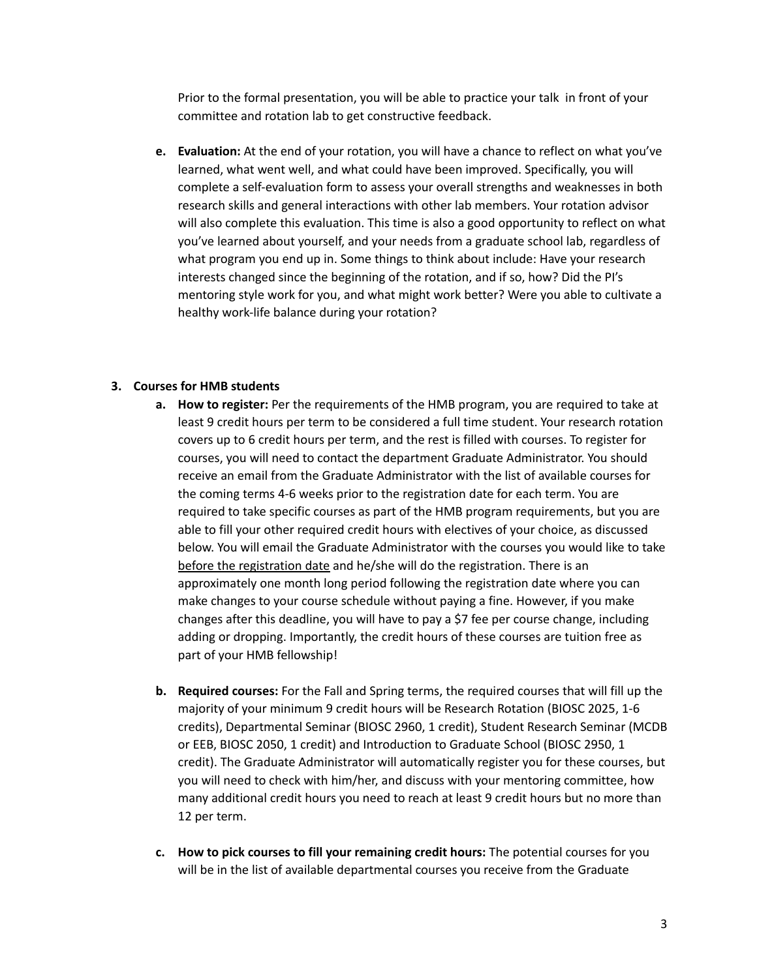Prior to the formal presentation, you will be able to practice your talk in front of your committee and rotation lab to get constructive feedback.

**e. Evaluation:** At the end of your rotation, you will have a chance to reflect on what you've learned, what went well, and what could have been improved. Specifically, you will complete a self-evaluation form to assess your overall strengths and weaknesses in both research skills and general interactions with other lab members. Your rotation advisor will also complete this evaluation. This time is also a good opportunity to reflect on what you've learned about yourself, and your needs from a graduate school lab, regardless of what program you end up in. Some things to think about include: Have your research interests changed since the beginning of the rotation, and if so, how? Did the PI's mentoring style work for you, and what might work better? Were you able to cultivate a healthy work-life balance during your rotation?

## **3. Courses for HMB students**

- **a. How to register:** Per the requirements of the HMB program, you are required to take at least 9 credit hours per term to be considered a full time student. Your research rotation covers up to 6 credit hours per term, and the rest is filled with courses. To register for courses, you will need to contact the department Graduate Administrator. You should receive an email from the Graduate Administrator with the list of available courses for the coming terms 4-6 weeks prior to the registration date for each term. You are required to take specific courses as part of the HMB program requirements, but you are able to fill your other required credit hours with electives of your choice, as discussed below. You will email the Graduate Administrator with the courses you would like to take before the registration date and he/she will do the registration. There is an approximately one month long period following the registration date where you can make changes to your course schedule without paying a fine. However, if you make changes after this deadline, you will have to pay a \$7 fee per course change, including adding or dropping. Importantly, the credit hours of these courses are tuition free as part of your HMB fellowship!
- **b. Required courses:** For the Fall and Spring terms, the required courses that will fill up the majority of your minimum 9 credit hours will be Research Rotation (BIOSC 2025, 1-6 credits), Departmental Seminar (BIOSC 2960, 1 credit), Student Research Seminar (MCDB or EEB, BIOSC 2050, 1 credit) and Introduction to Graduate School (BIOSC 2950, 1 credit). The Graduate Administrator will automatically register you for these courses, but you will need to check with him/her, and discuss with your mentoring committee, how many additional credit hours you need to reach at least 9 credit hours but no more than 12 per term.
- **c. How to pick courses to fill your remaining credit hours:** The potential courses for you will be in the list of available departmental courses you receive from the Graduate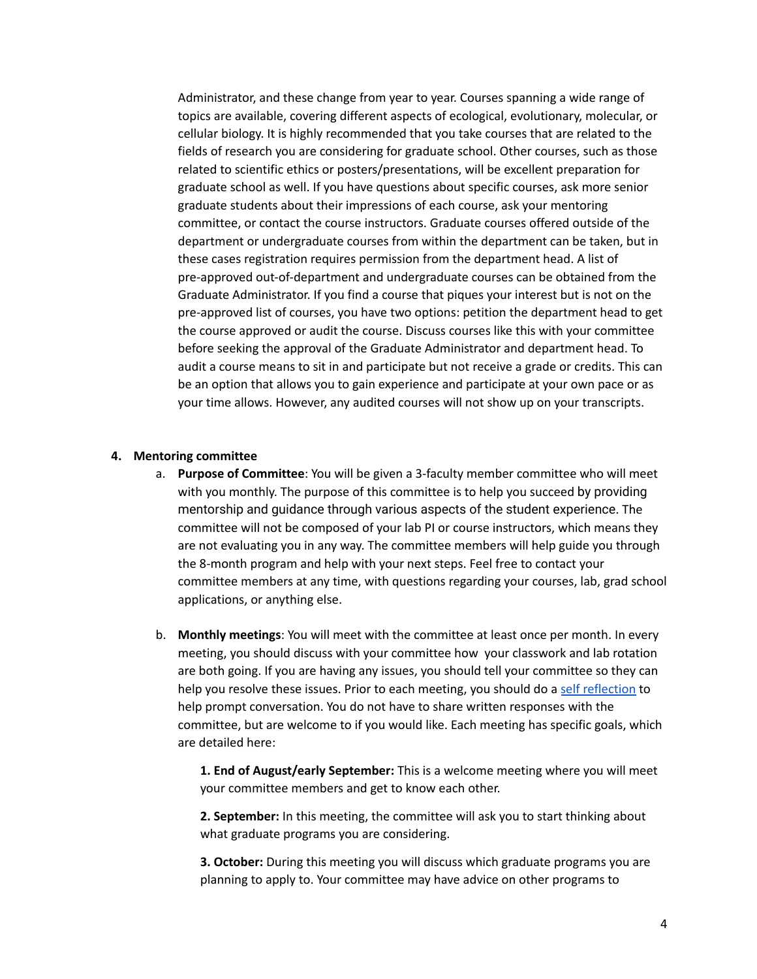Administrator, and these change from year to year. Courses spanning a wide range of topics are available, covering different aspects of ecological, evolutionary, molecular, or cellular biology. It is highly recommended that you take courses that are related to the fields of research you are considering for graduate school. Other courses, such as those related to scientific ethics or posters/presentations, will be excellent preparation for graduate school as well. If you have questions about specific courses, ask more senior graduate students about their impressions of each course, ask your mentoring committee, or contact the course instructors. Graduate courses offered outside of the department or undergraduate courses from within the department can be taken, but in these cases registration requires permission from the department head. A list of pre-approved out-of-department and undergraduate courses can be obtained from the Graduate Administrator. If you find a course that piques your interest but is not on the pre-approved list of courses, you have two options: petition the department head to get the course approved or audit the course. Discuss courses like this with your committee before seeking the approval of the Graduate Administrator and department head. To audit a course means to sit in and participate but not receive a grade or credits. This can be an option that allows you to gain experience and participate at your own pace or as your time allows. However, any audited courses will not show up on your transcripts.

#### **4. Mentoring committee**

- a. **Purpose of Committee**: You will be given a 3-faculty member committee who will meet with you monthly. The purpose of this committee is to help you succeed by providing mentorship and guidance through various aspects of the student experience. The committee will not be composed of your lab PI or course instructors, which means they are not evaluating you in any way. The committee members will help guide you through the 8-month program and help with your next steps. Feel free to contact your committee members at any time, with questions regarding your courses, lab, grad school applications, or anything else.
- b. **Monthly meetings**: You will meet with the committee at least once per month. In every meeting, you should discuss with your committee how your classwork and lab rotation are both going. If you are having any issues, you should tell your committee so they can help you resolve these issues. Prior to each meeting, you should do a self [reflection](https://docs.google.com/document/d/1Dv0yvV38ToNT4tbj9_rrzaljmQspRXma38hTLByedEA/edit) to help prompt conversation. You do not have to share written responses with the committee, but are welcome to if you would like. Each meeting has specific goals, which are detailed here:

**1. End of August/early September:** This is a welcome meeting where you will meet your committee members and get to know each other.

**2. September:** In this meeting, the committee will ask you to start thinking about what graduate programs you are considering.

**3. October:** During this meeting you will discuss which graduate programs you are planning to apply to. Your committee may have advice on other programs to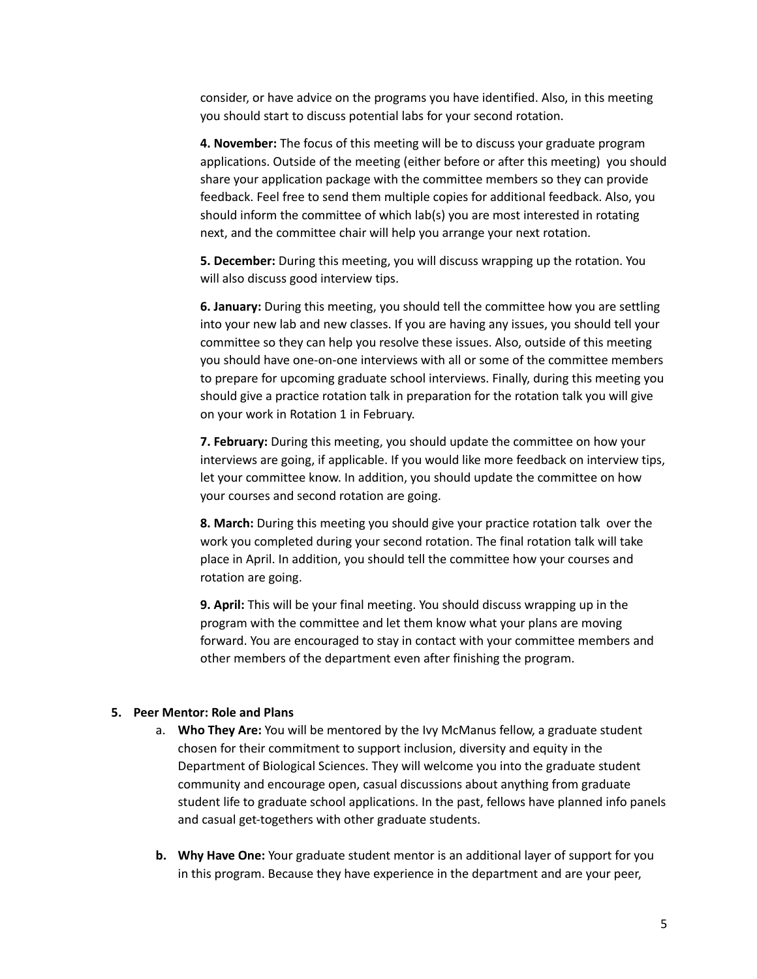consider, or have advice on the programs you have identified. Also, in this meeting you should start to discuss potential labs for your second rotation.

**4. November:** The focus of this meeting will be to discuss your graduate program applications. Outside of the meeting (either before or after this meeting) you should share your application package with the committee members so they can provide feedback. Feel free to send them multiple copies for additional feedback. Also, you should inform the committee of which lab(s) you are most interested in rotating next, and the committee chair will help you arrange your next rotation.

**5. December:** During this meeting, you will discuss wrapping up the rotation. You will also discuss good interview tips.

**6. January:** During this meeting, you should tell the committee how you are settling into your new lab and new classes. If you are having any issues, you should tell your committee so they can help you resolve these issues. Also, outside of this meeting you should have one-on-one interviews with all or some of the committee members to prepare for upcoming graduate school interviews. Finally, during this meeting you should give a practice rotation talk in preparation for the rotation talk you will give on your work in Rotation 1 in February.

**7. February:** During this meeting, you should update the committee on how your interviews are going, if applicable. If you would like more feedback on interview tips, let your committee know. In addition, you should update the committee on how your courses and second rotation are going.

**8. March:** During this meeting you should give your practice rotation talk over the work you completed during your second rotation. The final rotation talk will take place in April. In addition, you should tell the committee how your courses and rotation are going.

**9. April:** This will be your final meeting. You should discuss wrapping up in the program with the committee and let them know what your plans are moving forward. You are encouraged to stay in contact with your committee members and other members of the department even after finishing the program.

#### **5. Peer Mentor: Role and Plans**

- a. **Who They Are:** You will be mentored by the Ivy McManus fellow, a graduate student chosen for their commitment to support inclusion, diversity and equity in the Department of Biological Sciences. They will welcome you into the graduate student community and encourage open, casual discussions about anything from graduate student life to graduate school applications. In the past, fellows have planned info panels and casual get-togethers with other graduate students.
- **b. Why Have One:** Your graduate student mentor is an additional layer of support for you in this program. Because they have experience in the department and are your peer,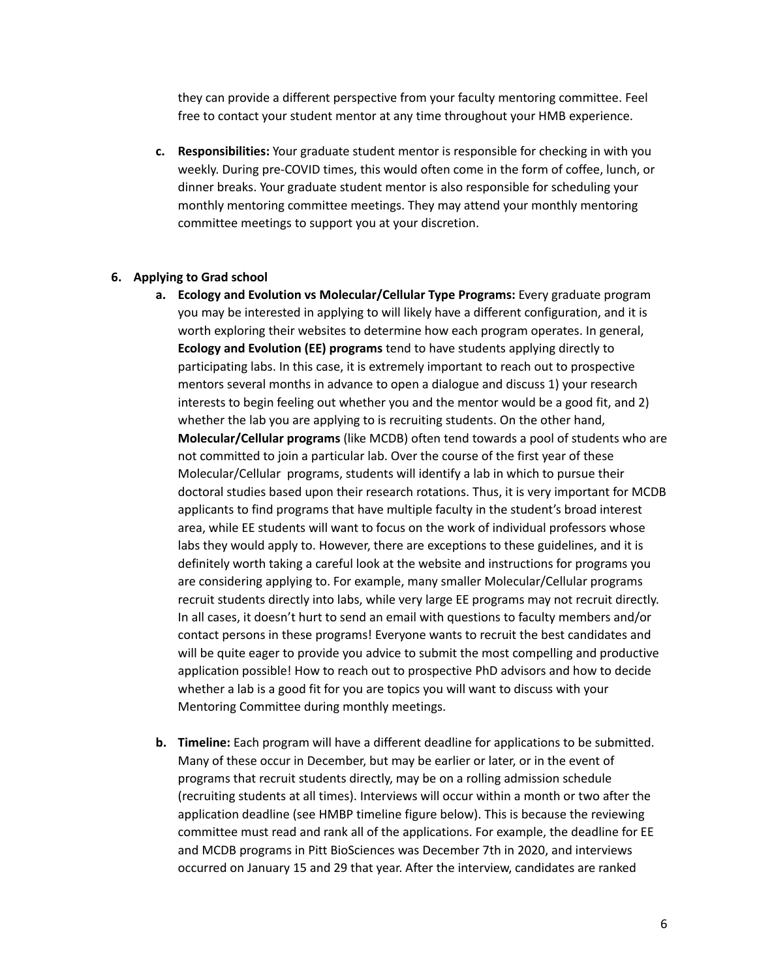they can provide a different perspective from your faculty mentoring committee. Feel free to contact your student mentor at any time throughout your HMB experience.

**c. Responsibilities:** Your graduate student mentor is responsible for checking in with you weekly. During pre-COVID times, this would often come in the form of coffee, lunch, or dinner breaks. Your graduate student mentor is also responsible for scheduling your monthly mentoring committee meetings. They may attend your monthly mentoring committee meetings to support you at your discretion.

#### **6. Applying to Grad school**

- **a. Ecology and Evolution vs Molecular/Cellular Type Programs:** Every graduate program you may be interested in applying to will likely have a different configuration, and it is worth exploring their websites to determine how each program operates. In general, **Ecology and Evolution (EE) programs** tend to have students applying directly to participating labs. In this case, it is extremely important to reach out to prospective mentors several months in advance to open a dialogue and discuss 1) your research interests to begin feeling out whether you and the mentor would be a good fit, and 2) whether the lab you are applying to is recruiting students. On the other hand, **Molecular/Cellular programs** (like MCDB) often tend towards a pool of students who are not committed to join a particular lab. Over the course of the first year of these Molecular/Cellular programs, students will identify a lab in which to pursue their doctoral studies based upon their research rotations. Thus, it is very important for MCDB applicants to find programs that have multiple faculty in the student's broad interest area, while EE students will want to focus on the work of individual professors whose labs they would apply to. However, there are exceptions to these guidelines, and it is definitely worth taking a careful look at the website and instructions for programs you are considering applying to. For example, many smaller Molecular/Cellular programs recruit students directly into labs, while very large EE programs may not recruit directly. In all cases, it doesn't hurt to send an email with questions to faculty members and/or contact persons in these programs! Everyone wants to recruit the best candidates and will be quite eager to provide you advice to submit the most compelling and productive application possible! How to reach out to prospective PhD advisors and how to decide whether a lab is a good fit for you are topics you will want to discuss with your Mentoring Committee during monthly meetings.
- **b. Timeline:** Each program will have a different deadline for applications to be submitted. Many of these occur in December, but may be earlier or later, or in the event of programs that recruit students directly, may be on a rolling admission schedule (recruiting students at all times). Interviews will occur within a month or two after the application deadline (see HMBP timeline figure below). This is because the reviewing committee must read and rank all of the applications. For example, the deadline for EE and MCDB programs in Pitt BioSciences was December 7th in 2020, and interviews occurred on January 15 and 29 that year. After the interview, candidates are ranked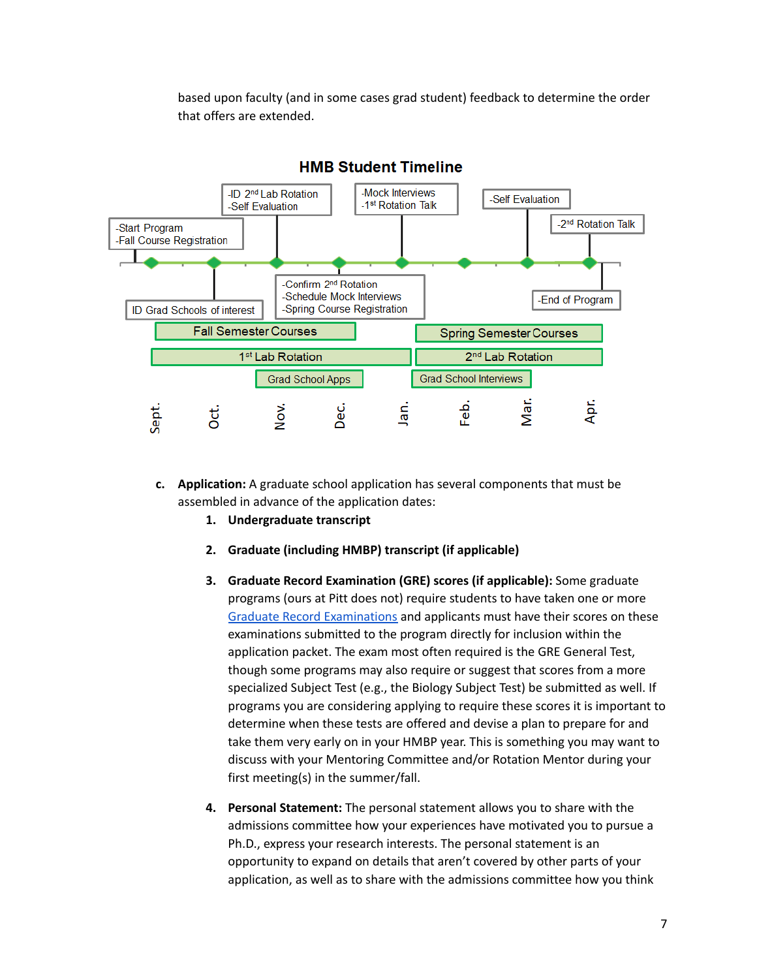based upon faculty (and in some cases grad student) feedback to determine the order that offers are extended.



- **c. Application:** A graduate school application has several components that must be assembled in advance of the application dates:
	- **1. Undergraduate transcript**
	- **2. Graduate (including HMBP) transcript (if applicable)**
	- **3. Graduate Record Examination (GRE) scores (if applicable):** Some graduate programs (ours at Pitt does not) require students to have taken one or more Graduate Record [Examinations](https://www.ets.org/gre) and applicants must have their scores on these examinations submitted to the program directly for inclusion within the application packet. The exam most often required is the GRE General Test, though some programs may also require or suggest that scores from a more specialized Subject Test (e.g., the Biology Subject Test) be submitted as well. If programs you are considering applying to require these scores it is important to determine when these tests are offered and devise a plan to prepare for and take them very early on in your HMBP year. This is something you may want to discuss with your Mentoring Committee and/or Rotation Mentor during your first meeting(s) in the summer/fall.
	- **4. Personal Statement:** The personal statement allows you to share with the admissions committee how your experiences have motivated you to pursue a Ph.D., express your research interests. The personal statement is an opportunity to expand on details that aren't covered by other parts of your application, as well as to share with the admissions committee how you think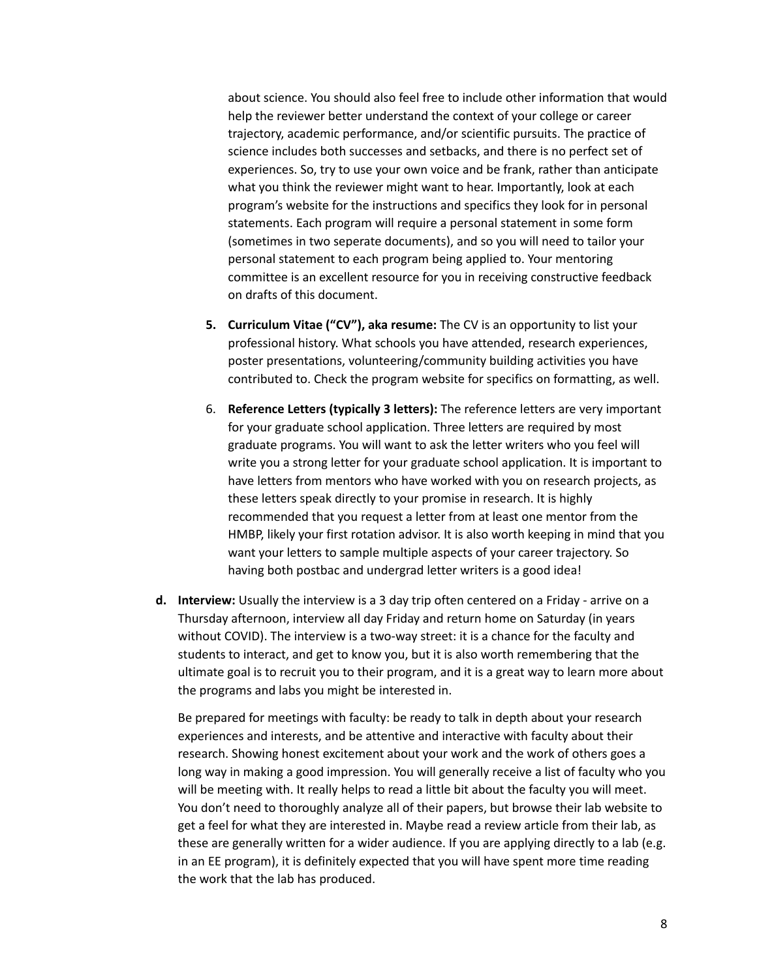about science. You should also feel free to include other information that would help the reviewer better understand the context of your college or career trajectory, academic performance, and/or scientific pursuits. The practice of science includes both successes and setbacks, and there is no perfect set of experiences. So, try to use your own voice and be frank, rather than anticipate what you think the reviewer might want to hear. Importantly, look at each program's website for the instructions and specifics they look for in personal statements. Each program will require a personal statement in some form (sometimes in two seperate documents), and so you will need to tailor your personal statement to each program being applied to. Your mentoring committee is an excellent resource for you in receiving constructive feedback on drafts of this document.

- **5. Curriculum Vitae ("CV"), aka resume:** The CV is an opportunity to list your professional history. What schools you have attended, research experiences, poster presentations, volunteering/community building activities you have contributed to. Check the program website for specifics on formatting, as well.
- 6. **Reference Letters (typically 3 letters):** The reference letters are very important for your graduate school application. Three letters are required by most graduate programs. You will want to ask the letter writers who you feel will write you a strong letter for your graduate school application. It is important to have letters from mentors who have worked with you on research projects, as these letters speak directly to your promise in research. It is highly recommended that you request a letter from at least one mentor from the HMBP, likely your first rotation advisor. It is also worth keeping in mind that you want your letters to sample multiple aspects of your career trajectory. So having both postbac and undergrad letter writers is a good idea!
- **d. Interview:** Usually the interview is a 3 day trip often centered on a Friday arrive on a Thursday afternoon, interview all day Friday and return home on Saturday (in years without COVID). The interview is a two-way street: it is a chance for the faculty and students to interact, and get to know you, but it is also worth remembering that the ultimate goal is to recruit you to their program, and it is a great way to learn more about the programs and labs you might be interested in.

Be prepared for meetings with faculty: be ready to talk in depth about your research experiences and interests, and be attentive and interactive with faculty about their research. Showing honest excitement about your work and the work of others goes a long way in making a good impression. You will generally receive a list of faculty who you will be meeting with. It really helps to read a little bit about the faculty you will meet. You don't need to thoroughly analyze all of their papers, but browse their lab website to get a feel for what they are interested in. Maybe read a review article from their lab, as these are generally written for a wider audience. If you are applying directly to a lab (e.g. in an EE program), it is definitely expected that you will have spent more time reading the work that the lab has produced.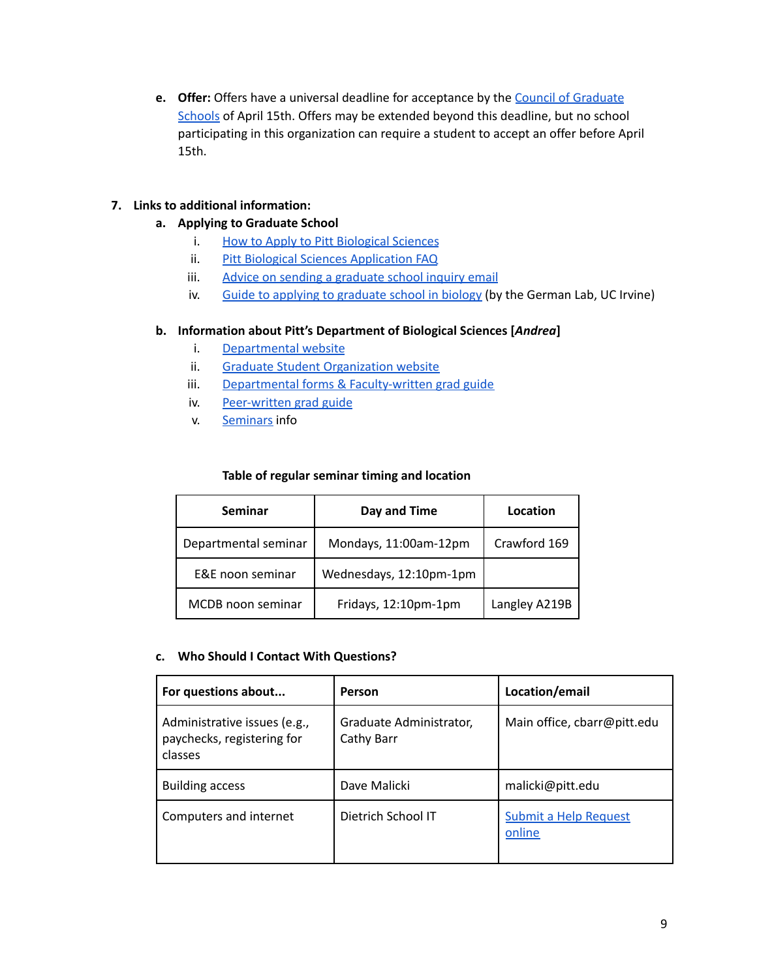**e. Offer:** Offers have a universal deadline for acceptance by the Council of [Graduate](https://cgsnet.org/) [Schools](https://cgsnet.org/) of April 15th. Offers may be extended beyond this deadline, but no school participating in this organization can require a student to accept an offer before April 15th.

# **7. Links to additional information:**

- **a. Applying to Graduate School**
	- i. How to Apply to Pitt [Biological](https://www.biology.pitt.edu/graduate/how-apply) Sciences
	- ii. Pitt Biological Sciences [Application](https://www.biology.pitt.edu/node/436) FAQ
	- iii. Advice on sending a [graduate](https://americanornithology.org/how-to-send-a-graduate-school-inquiry-email/) school inquiry email
	- iv. Guide to applying to [graduate](https://german.bio.uci.edu/images/PDF/Application_Guide.pdf) school in biology (by the German Lab, UC Irvine)

## **b. Information about Pitt's Department of Biological Sciences [***Andrea***]**

- i. [Departmental](https://www.biology.pitt.edu) website
- ii. Graduate Student [Organization](https://www.bioscigso.com) website
- iii. Departmental forms & [Faculty-written](https://www.biology.pitt.edu/graduate/docs) grad guide
- iv. [Peer-written](https://www.bioscigso.com/navigating-grad-school-at-pitt-bios) grad guide
- v. [Seminars](https://www.biology.pitt.edu/events) info

## **Table of regular seminar timing and location**

| <b>Seminar</b>       | Day and Time            | Location      |
|----------------------|-------------------------|---------------|
| Departmental seminar | Mondays, 11:00am-12pm   | Crawford 169  |
| E&E noon seminar     | Wednesdays, 12:10pm-1pm |               |
| MCDB noon seminar    | Fridays, 12:10pm-1pm    | Langley A219B |

## **c. Who Should I Contact With Questions?**

| For questions about                                                   | Person                                | Location/email                  |
|-----------------------------------------------------------------------|---------------------------------------|---------------------------------|
| Administrative issues (e.g.,<br>paychecks, registering for<br>classes | Graduate Administrator,<br>Cathy Barr | Main office, cbarr@pitt.edu     |
| <b>Building access</b>                                                | Dave Malicki                          | malicki@pitt.edu                |
| Computers and internet                                                | Dietrich School IT                    | Submit a Help Request<br>online |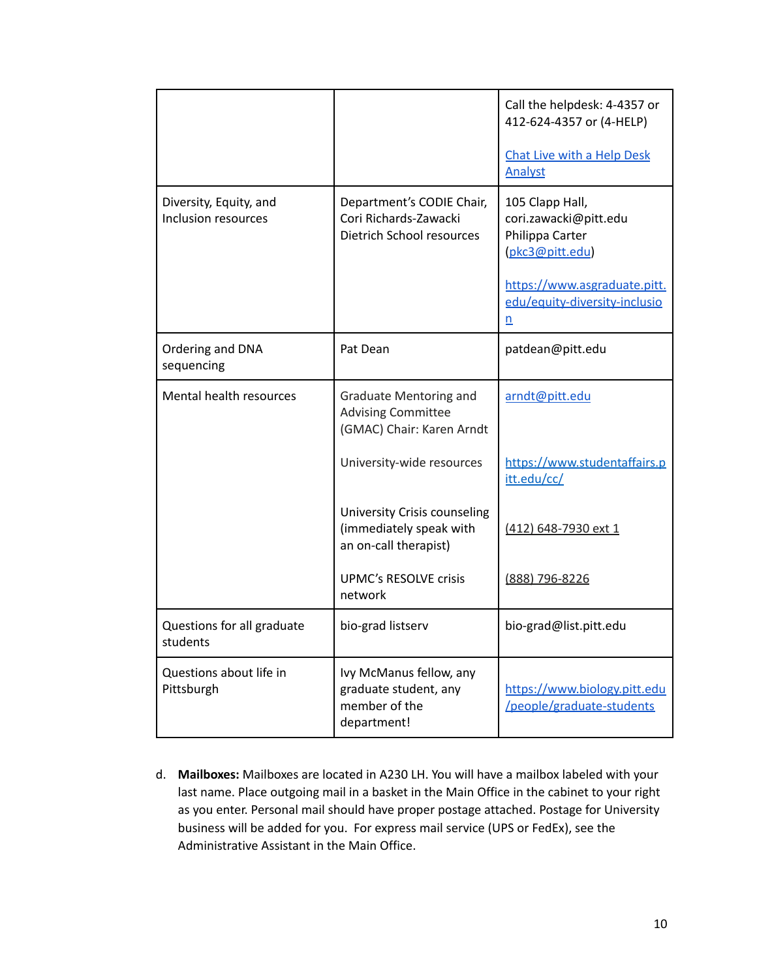|                                               |                                                                                         | Call the helpdesk: 4-4357 or<br>412-624-4357 or (4-HELP)<br>Chat Live with a Help Desk<br><b>Analyst</b>                                        |
|-----------------------------------------------|-----------------------------------------------------------------------------------------|-------------------------------------------------------------------------------------------------------------------------------------------------|
| Diversity, Equity, and<br>Inclusion resources | Department's CODIE Chair,<br>Cori Richards-Zawacki<br>Dietrich School resources         | 105 Clapp Hall,<br>cori.zawacki@pitt.edu<br>Philippa Carter<br>(pkc3@pitt.edu)<br>https://www.asgraduate.pitt.<br>edu/equity-diversity-inclusio |
| Ordering and DNA<br>sequencing                | Pat Dean                                                                                | n<br>patdean@pitt.edu                                                                                                                           |
| Mental health resources                       | <b>Graduate Mentoring and</b><br><b>Advising Committee</b><br>(GMAC) Chair: Karen Arndt | arndt@pitt.edu                                                                                                                                  |
|                                               | University-wide resources                                                               | https://www.studentaffairs.p<br>itt.edu/cc/                                                                                                     |
|                                               | University Crisis counseling<br>(immediately speak with<br>an on-call therapist)        | (412) 648-7930 ext 1                                                                                                                            |
|                                               | <b>UPMC's RESOLVE crisis</b><br>network                                                 | (888) 796-8226                                                                                                                                  |
| Questions for all graduate<br>students        | bio-grad listserv                                                                       | bio-grad@list.pitt.edu                                                                                                                          |
| Questions about life in<br>Pittsburgh         | Ivy McManus fellow, any<br>graduate student, any<br>member of the<br>department!        | https://www.biology.pitt.edu<br>/people/graduate-students                                                                                       |

d. **Mailboxes:** Mailboxes are located in A230 LH. You will have a mailbox labeled with your last name. Place outgoing mail in a basket in the Main Office in the cabinet to your right as you enter. Personal mail should have proper postage attached. Postage for University business will be added for you. For express mail service (UPS or FedEx), see the Administrative Assistant in the Main Office.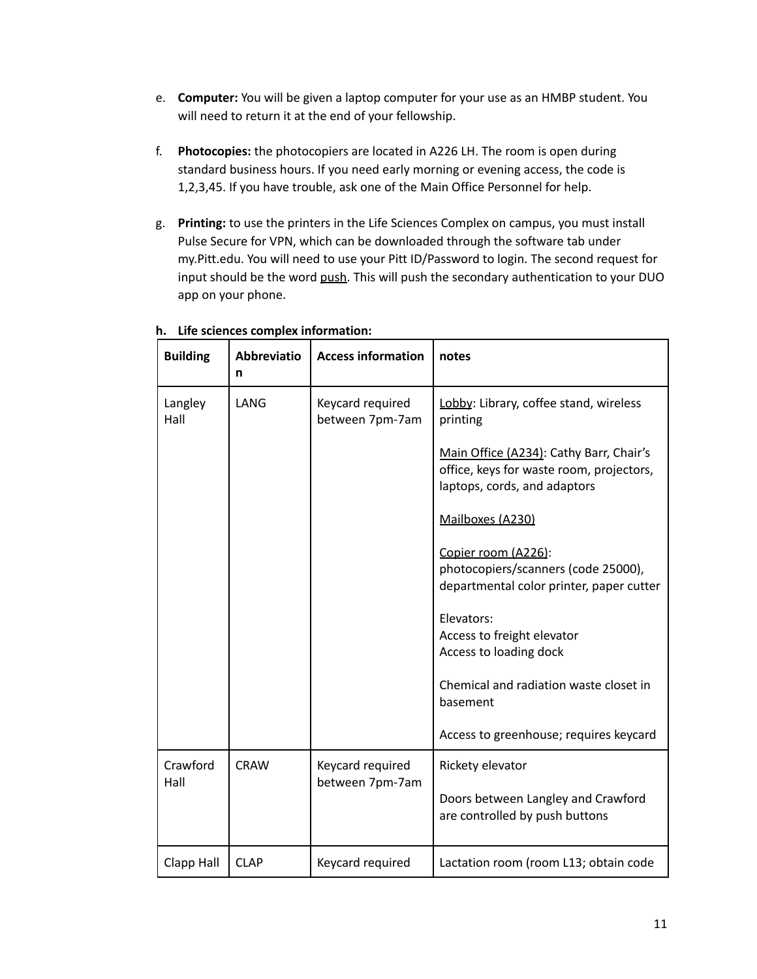- e. **Computer:** You will be given a laptop computer for your use as an HMBP student. You will need to return it at the end of your fellowship.
- f. **Photocopies:** the photocopiers are located in A226 LH. The room is open during standard business hours. If you need early morning or evening access, the code is 1,2,3,45. If you have trouble, ask one of the Main Office Personnel for help.
- g. **Printing:** to use the printers in the Life Sciences Complex on campus, you must install Pulse Secure for VPN, which can be downloaded through the software tab under my.Pitt.edu. You will need to use your Pitt ID/Password to login. The second request for input should be the word push. This will push the secondary authentication to your DUO app on your phone.

| <b>Building</b>  | <b>Abbreviatio</b><br>n | <b>Access information</b>           | notes                                                                                                               |
|------------------|-------------------------|-------------------------------------|---------------------------------------------------------------------------------------------------------------------|
| Langley<br>Hall  | LANG                    | Keycard required<br>between 7pm-7am | Lobby: Library, coffee stand, wireless<br>printing                                                                  |
|                  |                         |                                     | Main Office (A234): Cathy Barr, Chair's<br>office, keys for waste room, projectors,<br>laptops, cords, and adaptors |
|                  |                         |                                     | Mailboxes (A230)                                                                                                    |
|                  |                         |                                     | Copier room (A226):<br>photocopiers/scanners (code 25000),<br>departmental color printer, paper cutter              |
|                  |                         |                                     | Elevators:<br>Access to freight elevator<br>Access to loading dock                                                  |
|                  |                         |                                     | Chemical and radiation waste closet in<br>basement                                                                  |
|                  |                         |                                     | Access to greenhouse; requires keycard                                                                              |
| Crawford<br>Hall | <b>CRAW</b>             | Keycard required<br>between 7pm-7am | Rickety elevator                                                                                                    |
|                  |                         |                                     | Doors between Langley and Crawford<br>are controlled by push buttons                                                |
| Clapp Hall       | <b>CLAP</b>             | Keycard required                    | Lactation room (room L13; obtain code                                                                               |

# **h. Life sciences complex information:**